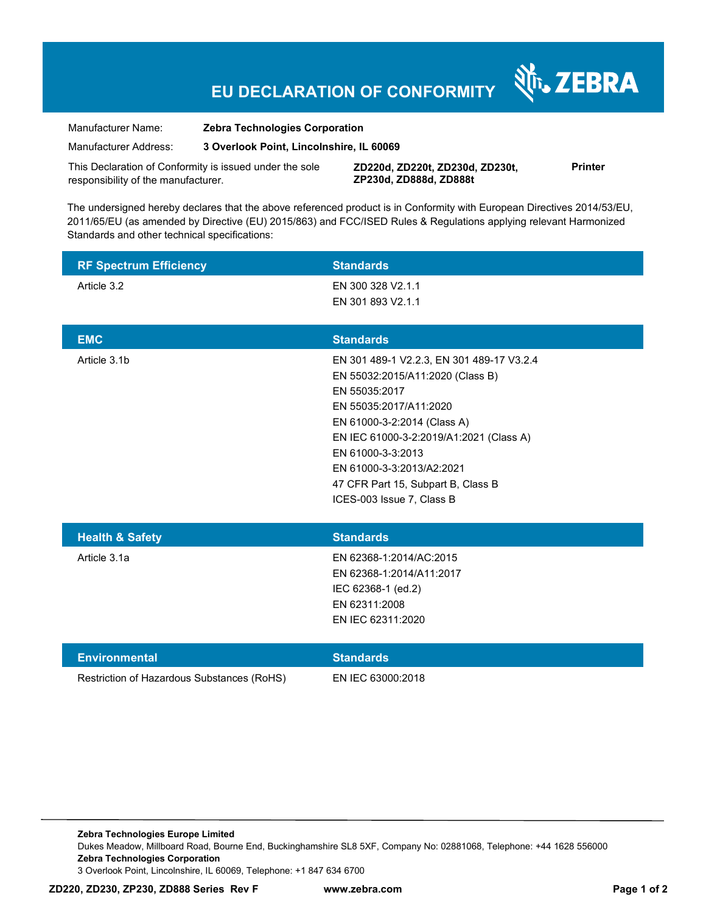# **EU DECLARATION OF CONFORMITY**

Manufacturer Name: **Zebra Technologies Corporation** 

Manufacturer Address: **3 Overlook Point, Lincolnshire, IL 60069** 

This Declaration of Conformity is issued under the sole responsibility of the manufacturer.

**ZD220d, ZD220t, ZD230d, ZD230t, ZP230d, ZD888d, ZD888t**

**Printer** 

र्शे<sub>ं</sub> ZEBRA

The undersigned hereby declares that the above referenced product is in Conformity with European Directives 2014/53/EU, 2011/65/EU (as amended by Directive (EU) 2015/863) and FCC/ISED Rules & Regulations applying relevant Harmonized Standards and other technical specifications:

| <b>RF Spectrum Efficiency</b>              | <b>Standards</b>                                                                                                                                                                                                                                                                                                        |
|--------------------------------------------|-------------------------------------------------------------------------------------------------------------------------------------------------------------------------------------------------------------------------------------------------------------------------------------------------------------------------|
| Article 3.2                                | EN 300 328 V2.1.1<br>EN 301 893 V2.1.1                                                                                                                                                                                                                                                                                  |
|                                            |                                                                                                                                                                                                                                                                                                                         |
| <b>EMC</b>                                 | <b>Standards</b>                                                                                                                                                                                                                                                                                                        |
| Article 3.1b                               | EN 301 489-1 V2.2.3, EN 301 489-17 V3.2.4<br>EN 55032:2015/A11:2020 (Class B)<br>EN 55035:2017<br>EN 55035:2017/A11:2020<br>EN 61000-3-2:2014 (Class A)<br>EN IEC 61000-3-2:2019/A1:2021 (Class A)<br>EN 61000-3-3:2013<br>EN 61000-3-3:2013/A2:2021<br>47 CFR Part 15, Subpart B, Class B<br>ICES-003 Issue 7, Class B |
| <b>Health &amp; Safety</b>                 | <b>Standards</b>                                                                                                                                                                                                                                                                                                        |
| Article 3.1a                               | EN 62368-1:2014/AC:2015<br>EN 62368-1:2014/A11:2017<br>IEC 62368-1 (ed.2)<br>EN 62311:2008<br>EN IEC 62311:2020                                                                                                                                                                                                         |
| <b>Environmental</b>                       | <b>Standards</b>                                                                                                                                                                                                                                                                                                        |
| Restriction of Hazardous Substances (RoHS) | EN IEC 63000:2018                                                                                                                                                                                                                                                                                                       |

**Zebra Technologies Europe Limited**  Dukes Meadow, Millboard Road, Bourne End, Buckinghamshire SL8 5XF, Company No: 02881068, Telephone: +44 1628 556000 **Zebra Technologies Corporation**  3 Overlook Point, Lincolnshire, IL 60069, Telephone: +1 847 634 6700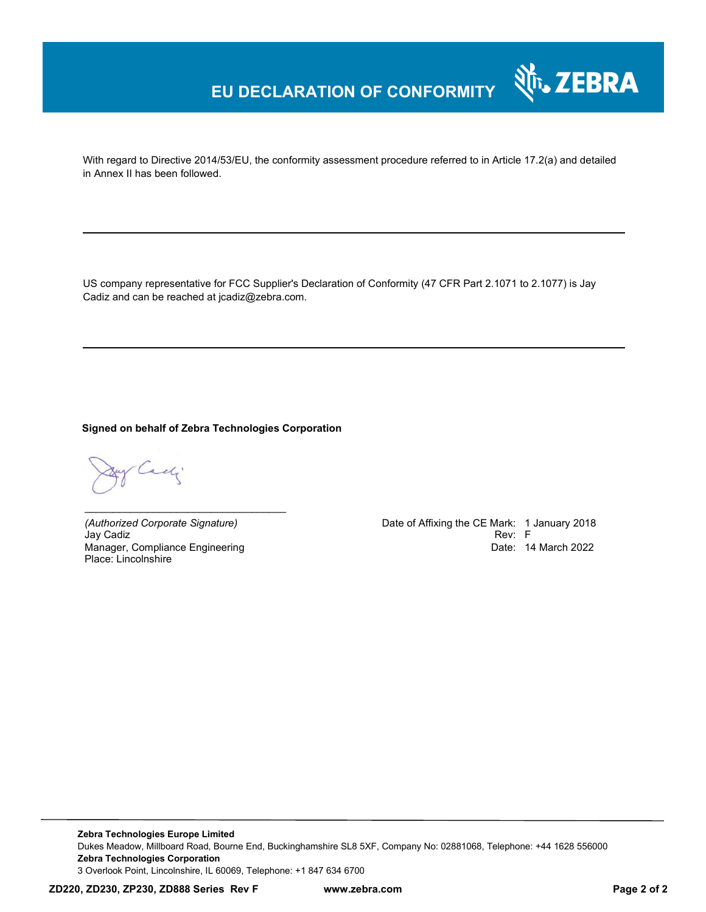## **EU DECLARATION OF CONFORMITY**

With regard to Directive 2014/53/EU, the conformity assessment procedure referred to in Article 17.2(a) and detailed in Annex II has been followed.

US company representative for FCC Supplier's Declaration of Conformity (47 CFR Part 2.1071 to 2.1077) is Jay Cadiz and can be reached at jcadiz@zebra.com.

**Signed on behalf of Zebra Technologies Corporation** 

Cadj

Jay Cadiz Rev: F Manager, Compliance Engineering Place: Lincolnshire

*\_\_\_\_\_\_\_\_\_\_\_\_\_\_\_\_\_\_\_\_\_\_\_\_\_\_\_\_\_\_\_\_\_\_\_*

*(Authorized Corporate Signature)* Date of Affixing the CE Mark: 1 January 2018 Date: 14 March 2022

र्शे<sub>ं</sub> ZEBRA

**Zebra Technologies Europe Limited**  Dukes Meadow, Millboard Road, Bourne End, Buckinghamshire SL8 5XF, Company No: 02881068, Telephone: +44 1628 556000 **Zebra Technologies Corporation**  3 Overlook Point, Lincolnshire, IL 60069, Telephone: +1 847 634 6700